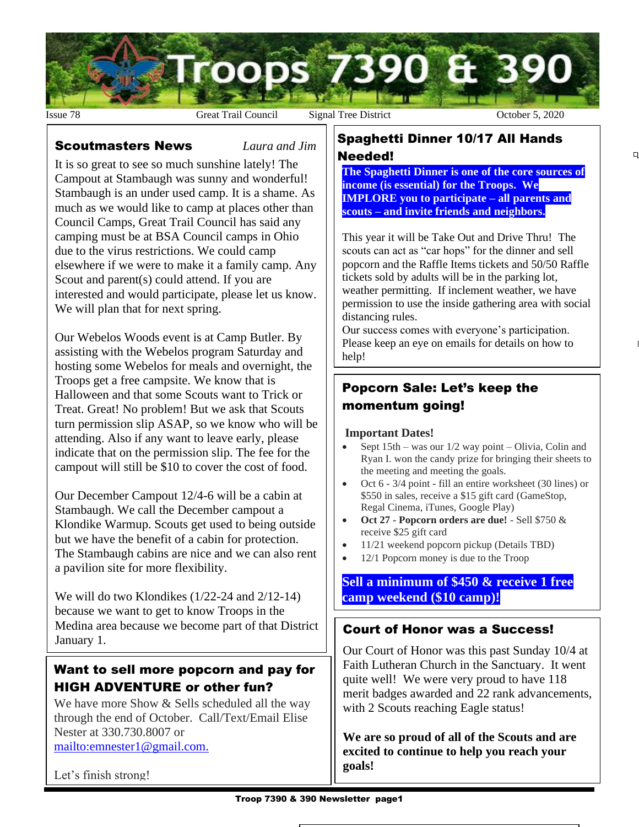

#### Scoutmasters News *Laura and Jim*

It is so great to see so much sunshine lately! The Campout at Stambaugh was sunny and wonderful! Stambaugh is an under used camp. It is a shame. As much as we would like to camp at places other than Council Camps, Great Trail Council has said any camping must be at BSA Council camps in Ohio due to the virus restrictions. We could camp elsewhere if we were to make it a family camp. Any Scout and parent(s) could attend. If you are interested and would participate, please let us know. We will plan that for next spring.

Our Webelos Woods event is at Camp Butler. By assisting with the Webelos program Saturday and hosting some Webelos for meals and overnight, the Troops get a free campsite. We know that is Halloween and that some Scouts want to Trick or Treat. Great! No problem! But we ask that Scouts turn permission slip ASAP, so we know who will be attending. Also if any want to leave early, please indicate that on the permission slip. The fee for the campout will still be \$10 to cover the cost of food.

Our December Campout 12/4-6 will be a cabin at Stambaugh. We call the December campout a Klondike Warmup. Scouts get used to being outside but we have the benefit of a cabin for protection. The Stambaugh cabins are nice and we can also rent a pavilion site for more flexibility.

We will do two Klondikes (1/22-24 and 2/12-14) because we want to get to know Troops in the Medina area because we become part of that District January 1.

### Want to sell more popcorn and pay for HIGH ADVENTURE or other fun?

We have more Show & Sells scheduled all the way through the end of October. Call/Text/Email Elise Nester at 330.730.8007 or <mailto:emnester1@gmail.com.>

Let's finish strong!

#### Spaghetti Dinner 10/17 All Hands Needed!

**The Spaghetti Dinner is one of the core sources of income (is essential) for the Troops. We IMPLORE you to participate – all parents and scouts – and invite friends and neighbors.** 

 $\overline{a}$ 

This year it will be Take Out and Drive Thru! The scouts can act as "car hops" for the dinner and sell popcorn and the Raffle Items tickets and 50/50 Raffle tickets sold by adults will be in the parking lot, weather permitting. If inclement weather, we have permission to use the inside gathering area with social distancing rules.

Our success comes with everyone's participation. Please keep an eye on emails for details on how to help!

### Popcorn Sale: Let's keep the momentum going!

#### **Important Dates!**

- Sept  $15th$  was our  $1/2$  way point Olivia, Colin and Ryan I. won the candy prize for bringing their sheets to the meeting and meeting the goals.
- Oct 6 3/4 point fill an entire worksheet (30 lines) or \$550 in sales, receive a \$15 gift card (GameStop, Regal Cinema, iTunes, Google Play)
- **Oct 27 - Popcorn orders are due!** Sell \$750 & receive \$25 gift card
- 11/21 weekend popcorn pickup (Details TBD)
- 12/1 Popcorn money is due to the Troop

### **Sell a minimum of \$450 & receive 1 free camp weekend (\$10 camp)!**

### Court of Honor was a Success!

Our Court of Honor was this past Sunday 10/4 at Faith Lutheran Church in the Sanctuary. It went quite well! We were very proud to have 118 merit badges awarded and 22 rank advancements, with 2 Scouts reaching Eagle status!

**We are so proud of all of the Scouts and are excited to continue to help you reach your goals!**